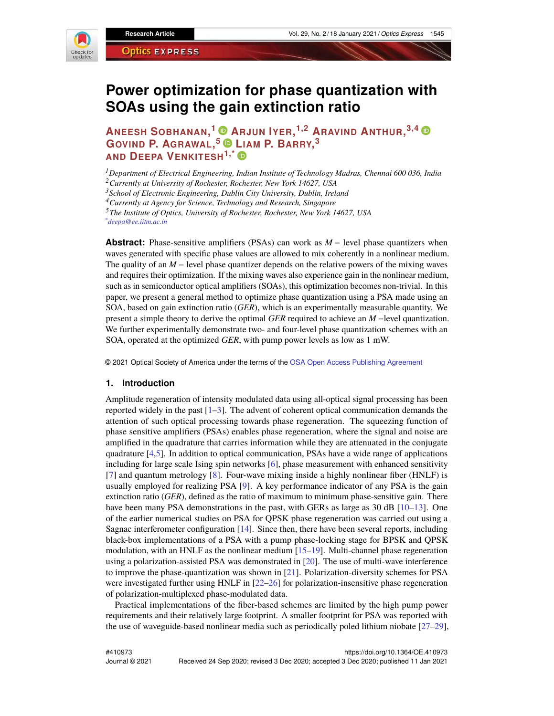

# **Power optimization for phase quantization with SOAs using the gain extinction ratio**

**ANEESH SOBHANAN, <sup>1</sup> [A](https://orcid.org/0000-0003-4486-8533)RJUN IYER, 1,2 ARAVIND ANTHUR, 3,4 GOVIND P. AGRAWAL, <sup>5</sup> [L](https://orcid.org/0000-0002-1111-3145)IAM P. BARRY, 3 AND DEEPA VENKITESH1,\***

*<sup>1</sup>Department of Electrical Engineering, Indian Institute of Technology Madras, Chennai 600 036, India <sup>2</sup>Currently at University of Rochester, Rochester, New York 14627, USA*

*<sup>3</sup>School of Electronic Engineering, Dublin City University, Dublin, Ireland*

*<sup>4</sup>Currently at Agency for Science, Technology and Research, Singapore*

*<sup>5</sup>The Institute of Optics, University of Rochester, Rochester, New York 14627, USA \*deepa@ee.iitm.ac.in*

**Abstract:** Phase-sensitive amplifiers (PSAs) can work as *M* − level phase quantizers when waves generated with specific phase values are allowed to mix coherently in a nonlinear medium. The quality of an *M* − level phase quantizer depends on the relative powers of the mixing waves and requires their optimization. If the mixing waves also experience gain in the nonlinear medium, such as in semiconductor optical amplifiers (SOAs), this optimization becomes non-trivial. In this paper, we present a general method to optimize phase quantization using a PSA made using an SOA, based on gain extinction ratio (*GER*), which is an experimentally measurable quantity. We present a simple theory to derive the optimal *GER* required to achieve an *M* −level quantization. We further experimentally demonstrate two- and four-level phase quantization schemes with an SOA, operated at the optimized *GER*, with pump power levels as low as 1 mW.

© 2021 Optical Society of America under the terms of the [OSA Open Access Publishing Agreement](https://doi.org/10.1364/OA_License_v1#VOR-OA)

#### **1. Introduction**

Amplitude regeneration of intensity modulated data using all-optical signal processing has been reported widely in the past  $[1-3]$  $[1-3]$ . The advent of coherent optical communication demands the attention of such optical processing towards phase regeneration. The squeezing function of phase sensitive amplifiers (PSAs) enables phase regeneration, where the signal and noise are amplified in the quadrature that carries information while they are attenuated in the conjugate quadrature [\[4](#page-11-2)[,5\]](#page-11-3). In addition to optical communication, PSAs have a wide range of applications including for large scale Ising spin networks [\[6\]](#page-11-4), phase measurement with enhanced sensitivity [\[7\]](#page-11-5) and quantum metrology [\[8\]](#page-11-6). Four-wave mixing inside a highly nonlinear fiber (HNLF) is usually employed for realizing PSA [\[9\]](#page-11-7). A key performance indicator of any PSA is the gain extinction ratio (*GER*), defined as the ratio of maximum to minimum phase-sensitive gain. There have been many PSA demonstrations in the past, with GERs as large as 30 dB [\[10–](#page-11-8)[13\]](#page-11-9). One of the earlier numerical studies on PSA for QPSK phase regeneration was carried out using a Sagnac interferometer configuration [\[14\]](#page-11-10). Since then, there have been several reports, including black-box implementations of a PSA with a pump phase-locking stage for BPSK and QPSK modulation, with an HNLF as the nonlinear medium  $[15–19]$  $[15–19]$ . Multi-channel phase regeneration using a polarization-assisted PSA was demonstrated in [\[20\]](#page-11-13). The use of multi-wave interference to improve the phase-quantization was shown in [\[21\]](#page-11-14). Polarization-diversity schemes for PSA were investigated further using HNLF in [\[22](#page-11-15)[–26\]](#page-12-0) for polarization-insensitive phase regeneration of polarization-multiplexed phase-modulated data.

Practical implementations of the fiber-based schemes are limited by the high pump power requirements and their relatively large footprint. A smaller footprint for PSA was reported with the use of waveguide-based nonlinear media such as periodically poled lithium niobate [\[27–](#page-12-1)[29\]](#page-12-2),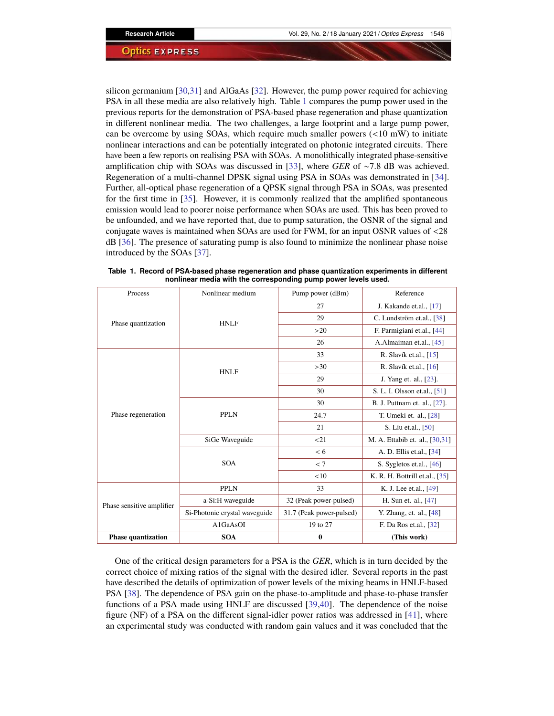silicon germanium [\[30](#page-12-3)[,31\]](#page-12-4) and AlGaAs [\[32\]](#page-12-5). However, the pump power required for achieving PSA in all these media are also relatively high. Table [1](#page-1-0) compares the pump power used in the previous reports for the demonstration of PSA-based phase regeneration and phase quantization in different nonlinear media. The two challenges, a large footprint and a large pump power, can be overcome by using SOAs, which require much smaller powers  $\left($  <10 mW) to initiate nonlinear interactions and can be potentially integrated on photonic integrated circuits. There have been a few reports on realising PSA with SOAs. A monolithically integrated phase-sensitive amplification chip with SOAs was discussed in [\[33\]](#page-12-6), where *GER* of ∼7.8 dB was achieved. Regeneration of a multi-channel DPSK signal using PSA in SOAs was demonstrated in [\[34\]](#page-12-7). Further, all-optical phase regeneration of a QPSK signal through PSA in SOAs, was presented for the first time in [\[35\]](#page-12-8). However, it is commonly realized that the amplified spontaneous emission would lead to poorer noise performance when SOAs are used. This has been proved to be unfounded, and we have reported that, due to pump saturation, the OSNR of the signal and conjugate waves is maintained when SOAs are used for FWM, for an input OSNR values of <28 dB [\[36\]](#page-12-9). The presence of saturating pump is also found to minimize the nonlinear phase noise introduced by the SOAs [\[37\]](#page-12-10).

| Process                   | Nonlinear medium              | Pump power (dBm)         | Reference                      |
|---------------------------|-------------------------------|--------------------------|--------------------------------|
| Phase quantization        | <b>HNLF</b>                   | 27                       | J. Kakande et.al., [17]        |
|                           |                               | 29                       | C. Lundström et.al., [38]      |
|                           |                               | >20                      | F. Parmigiani et.al., [44]     |
|                           |                               | 26                       | A.Almaiman et.al., [45]        |
| Phase regeneration        | <b>HNLF</b>                   | 33                       | R. Slavík et.al., [15]         |
|                           |                               | >30                      | R. Slavík et.al., $[16]$       |
|                           |                               | 29                       | J. Yang et. al., [23].         |
|                           |                               | 30                       | S. L. I. Olsson et.al., [51]   |
|                           | <b>PPLN</b>                   | 30                       | B. J. Puttnam et. al., [27].   |
|                           |                               | 24.7                     | T. Umeki et. al., [28]         |
|                           |                               | 21                       | S. Liu et.al., [50]            |
|                           | SiGe Waveguide                | <21                      | M. A. Ettabib et. al., [30,31] |
|                           | <b>SOA</b>                    | < 6                      | A. D. Ellis et.al., [34]       |
|                           |                               | < 7                      | S. Sygletos et.al., $[46]$     |
|                           |                               | <10                      | K. R. H. Bottrill et.al., [35] |
| Phase sensitive amplifier | <b>PPLN</b>                   | 33                       | K. J. Lee et.al., [49]         |
|                           | a-Si:H waveguide              | 32 (Peak power-pulsed)   | H. Sun et. al., [47]           |
|                           | Si-Photonic crystal waveguide | 31.7 (Peak power-pulsed) | Y. Zhang, et. al., [48]        |
|                           | A1GaAsOI                      | 19 to 27                 | F. Da Ros et.al., [32]         |
| <b>Phase quantization</b> | <b>SOA</b>                    | $\bf{0}$                 | (This work)                    |

<span id="page-1-0"></span>**Table 1. Record of PSA-based phase regeneration and phase quantization experiments in different nonlinear media with the corresponding pump power levels used.**

One of the critical design parameters for a PSA is the *GER*, which is in turn decided by the correct choice of mixing ratios of the signal with the desired idler. Several reports in the past have described the details of optimization of power levels of the mixing beams in HNLF-based PSA [\[38\]](#page-12-11). The dependence of PSA gain on the phase-to-amplitude and phase-to-phase transfer functions of a PSA made using HNLF are discussed [\[39,](#page-12-21)[40\]](#page-12-22). The dependence of the noise figure (NF) of a PSA on the different signal-idler power ratios was addressed in [\[41\]](#page-12-23), where an experimental study was conducted with random gain values and it was concluded that the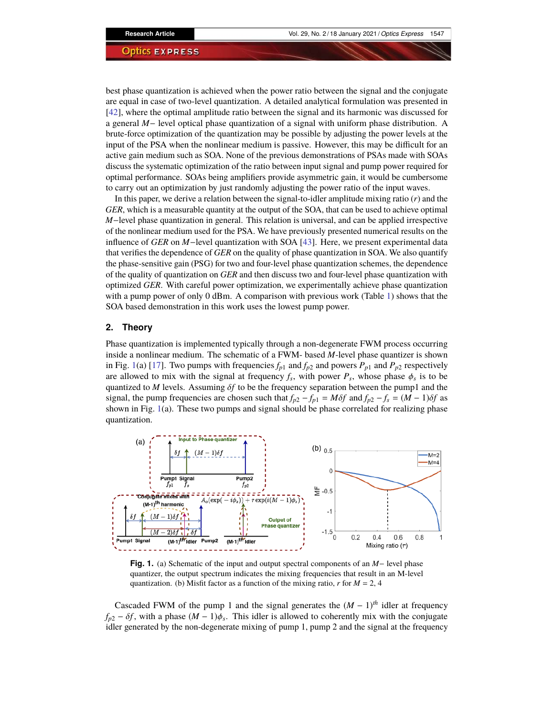best phase quantization is achieved when the power ratio between the signal and the conjugate are equal in case of two-level quantization. A detailed analytical formulation was presented in [\[42\]](#page-12-24), where the optimal amplitude ratio between the signal and its harmonic was discussed for a general *M*− level optical phase quantization of a signal with uniform phase distribution. A brute-force optimization of the quantization may be possible by adjusting the power levels at the input of the PSA when the nonlinear medium is passive. However, this may be difficult for an active gain medium such as SOA. None of the previous demonstrations of PSAs made with SOAs discuss the systematic optimization of the ratio between input signal and pump power required for optimal performance. SOAs being amplifiers provide asymmetric gain, it would be cumbersome to carry out an optimization by just randomly adjusting the power ratio of the input waves.

In this paper, we derive a relation between the signal-to-idler amplitude mixing ratio (*r*) and the *GER*, which is a measurable quantity at the output of the SOA, that can be used to achieve optimal *M*−level phase quantization in general. This relation is universal, and can be applied irrespective of the nonlinear medium used for the PSA. We have previously presented numerical results on the influence of *GER* on *M*−level quantization with SOA [\[43\]](#page-12-25). Here, we present experimental data that verifies the dependence of *GER* on the quality of phase quantization in SOA. We also quantify the phase-sensitive gain (PSG) for two and four-level phase quantization schemes, the dependence of the quality of quantization on *GER* and then discuss two and four-level phase quantization with optimized *GER*. With careful power optimization, we experimentally achieve phase quantization with a pump power of only 0 dBm. A comparison with previous work (Table [1\)](#page-1-0) shows that the SOA based demonstration in this work uses the lowest pump power.

# <span id="page-2-1"></span>**2. Theory**

Phase quantization is implemented typically through a non-degenerate FWM process occurring inside a nonlinear medium. The schematic of a FWM- based *M*-level phase quantizer is shown in Fig. [1\(](#page-2-0)a) [\[17\]](#page-11-16). Two pumps with frequencies  $f_{p1}$  and  $f_{p2}$  and powers  $P_{p1}$  and  $P_{p2}$  respectively are allowed to mix with the signal at frequency  $f_s$ , with power  $P_s$ , whose phase  $\phi_s$  is to be quantized to *M* levels. Assuming δ*f* to be the frequency separation between the pump1 and the signal, the pump frequencies are chosen such that  $f_{p2} - f_{p1} = M\delta f$  and  $f_{p2} - f_s = (M - 1)\delta f$  as shown in Fig. [1\(](#page-2-0)a). These two pumps and signal should be phase correlated for realizing phase quantization.



<span id="page-2-0"></span>**Fig. 1.** (a) Schematic of the input and output spectral components of an *M*− level phase quantizer, the output spectrum indicates the mixing frequencies that result in an M-level quantization. (b) Misfit factor as a function of the mixing ratio,  $r$  for  $M = 2$ , 4

Cascaded FWM of the pump 1 and the signal generates the  $(M - 1)$ <sup>th</sup> idler at frequency  $f_{p2} - \delta f$ , with a phase  $(M - 1)\phi_s$ . This idler is allowed to coherently mix with the conjugate idler generated by the non-degenerate mixing of pump 1, pump 2 and the signal at the frequency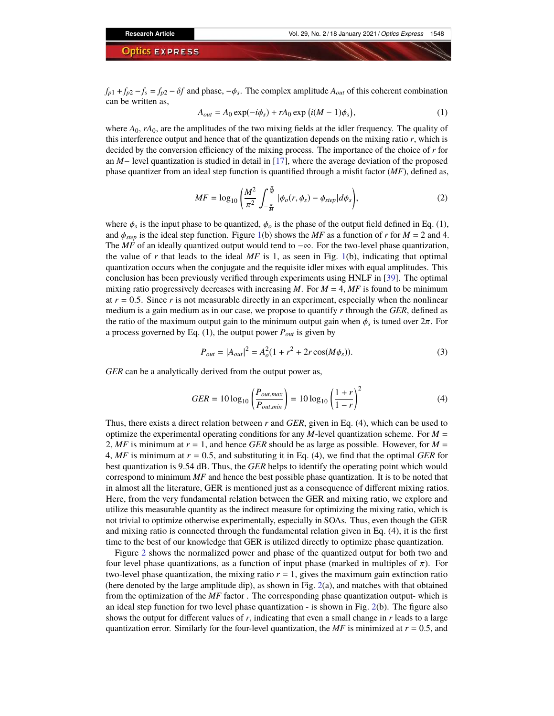$f_{p1} + f_{p2} - f_s = f_{p2} - \delta f$  and phase,  $-\phi_s$ . The complex amplitude  $A_{out}$  of this coherent combination can be written as,

$$
A_{out} = A_0 \exp(-i\phi_s) + rA_0 \exp(i(M-1)\phi_s), \qquad (1)
$$

where  $A_0$ ,  $rA_0$ , are the amplitudes of the two mixing fields at the idler frequency. The quality of this interference output and hence that of the quantization depends on the mixing ratio *r*, which is decided by the conversion efficiency of the mixing process. The importance of the choice of *r* for an *M*− level quantization is studied in detail in [\[17\]](#page-11-16), where the average deviation of the proposed phase quantizer from an ideal step function is quantified through a misfit factor (*MF*), defined as,

$$
MF = \log_{10} \left( \frac{M^2}{\pi^2} \int_{-\frac{\pi}{M}}^{\frac{\pi}{M}} |\phi_o(r, \phi_s) - \phi_{step}| d\phi_s \right), \tag{2}
$$

where  $\phi_s$  is the input phase to be quantized,  $\phi_o$  is the phase of the output field defined in Eq. (1), and  $\phi_{step}$  is the ideal step function. Figure [1\(](#page-2-0)b) shows the *MF* as a function of *r* for *M* = 2 and 4. The *MF* of an ideally quantized output would tend to −∞. For the two-level phase quantization, the value of  $r$  that leads to the ideal  $MF$  is 1, as seen in Fig. [1\(](#page-2-0)b), indicating that optimal quantization occurs when the conjugate and the requisite idler mixes with equal amplitudes. This conclusion has been previously verified through experiments using HNLF in [\[39\]](#page-12-21). The optimal mixing ratio progressively decreases with increasing  $M$ . For  $M = 4$ ,  $MF$  is found to be minimum at  $r = 0.5$ . Since  $r$  is not measurable directly in an experiment, especially when the nonlinear medium is a gain medium as in our case, we propose to quantify *r* through the *GER*, defined as the ratio of the maximum output gain to the minimum output gain when  $\phi_s$  is tuned over  $2\pi$ . For a process governed by Eq. (1), the output power *Pout* is given by

$$
P_{out} = |A_{out}|^2 = A_o^2 (1 + r^2 + 2r \cos(M\phi_s)).
$$
\n(3)

*GER* can be a analytically derived from the output power as,

$$
GER = 10 \log_{10} \left( \frac{P_{out,max}}{P_{out,min}} \right) = 10 \log_{10} \left( \frac{1+r}{1-r} \right)^2
$$
 (4)

Thus, there exists a direct relation between *r* and *GER*, given in Eq. (4), which can be used to optimize the experimental operating conditions for any *M*-level quantization scheme. For  $M =$ 2, MF is minimum at  $r = 1$ , and hence *GER* should be as large as possible. However, for  $M =$ 4, *MF* is minimum at *r* = 0.5, and substituting it in Eq. (4), we find that the optimal *GER* for best quantization is 9.54 dB. Thus, the *GER* helps to identify the operating point which would correspond to minimum *MF* and hence the best possible phase quantization. It is to be noted that in almost all the literature, GER is mentioned just as a consequence of different mixing ratios. Here, from the very fundamental relation between the GER and mixing ratio, we explore and utilize this measurable quantity as the indirect measure for optimizing the mixing ratio, which is not trivial to optimize otherwise experimentally, especially in SOAs. Thus, even though the GER and mixing ratio is connected through the fundamental relation given in Eq. (4), it is the first time to the best of our knowledge that GER is utilized directly to optimize phase quantization.

Figure [2](#page-4-0) shows the normalized power and phase of the quantized output for both two and four level phase quantizations, as a function of input phase (marked in multiples of π). For two-level phase quantization, the mixing ratio  $r = 1$ , gives the maximum gain extinction ratio (here denoted by the large amplitude dip), as shown in Fig. [2\(](#page-4-0)a), and matches with that obtained from the optimization of the *MF* factor . The corresponding phase quantization output- which is an ideal step function for two level phase quantization - is shown in Fig. [2\(](#page-4-0)b). The figure also shows the output for different values of *r*, indicating that even a small change in *r* leads to a large quantization error. Similarly for the four-level quantization, the  $MF$  is minimized at  $r = 0.5$ , and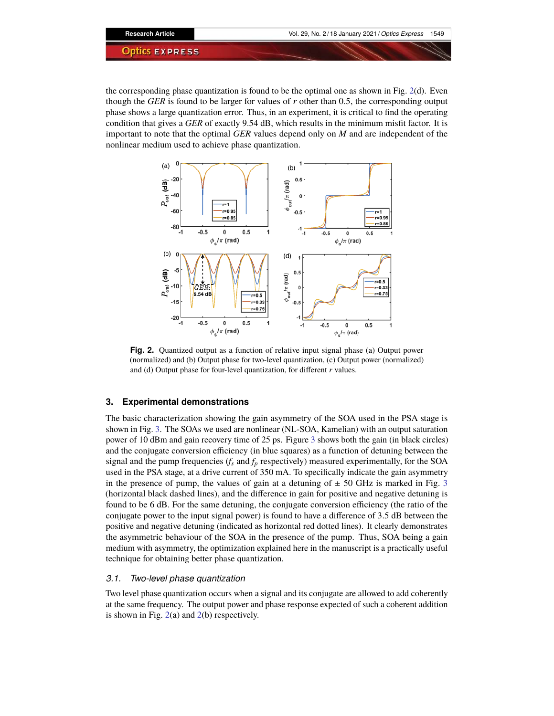the corresponding phase quantization is found to be the optimal one as shown in Fig.  $2(d)$  $2(d)$ . Even though the *GER* is found to be larger for values of *r* other than 0.5, the corresponding output phase shows a large quantization error. Thus, in an experiment, it is critical to find the operating condition that gives a *GER* of exactly 9.54 dB, which results in the minimum misfit factor. It is important to note that the optimal *GER* values depend only on *M* and are independent of the nonlinear medium used to achieve phase quantization.



<span id="page-4-0"></span>**Fig. 2.** Quantized output as a function of relative input signal phase (a) Output power (normalized) and (b) Output phase for two-level quantization, (c) Output power (normalized) and (d) Output phase for four-level quantization, for different *r* values.

# **3. Experimental demonstrations**

The basic characterization showing the gain asymmetry of the SOA used in the PSA stage is shown in Fig. [3.](#page-5-0) The SOAs we used are nonlinear (NL-SOA, Kamelian) with an output saturation power of 10 dBm and gain recovery time of 25 ps. Figure [3](#page-5-0) shows both the gain (in black circles) and the conjugate conversion efficiency (in blue squares) as a function of detuning between the signal and the pump frequencies  $(f_s \text{ and } f_p \text{ respectively})$  measured experimentally, for the SOA used in the PSA stage, at a drive current of 350 mA. To specifically indicate the gain asymmetry in the presence of pump, the values of gain at a detuning of  $\pm$  50 GHz is marked in Fig. [3](#page-5-0) (horizontal black dashed lines), and the difference in gain for positive and negative detuning is found to be 6 dB. For the same detuning, the conjugate conversion efficiency (the ratio of the conjugate power to the input signal power) is found to have a difference of 3.5 dB between the positive and negative detuning (indicated as horizontal red dotted lines). It clearly demonstrates the asymmetric behaviour of the SOA in the presence of the pump. Thus, SOA being a gain medium with asymmetry, the optimization explained here in the manuscript is a practically useful technique for obtaining better phase quantization.

# *3.1. Two-level phase quantization*

Two level phase quantization occurs when a signal and its conjugate are allowed to add coherently at the same frequency. The output power and phase response expected of such a coherent addition is shown in Fig. [2\(](#page-4-0)a) and [2\(](#page-4-0)b) respectively.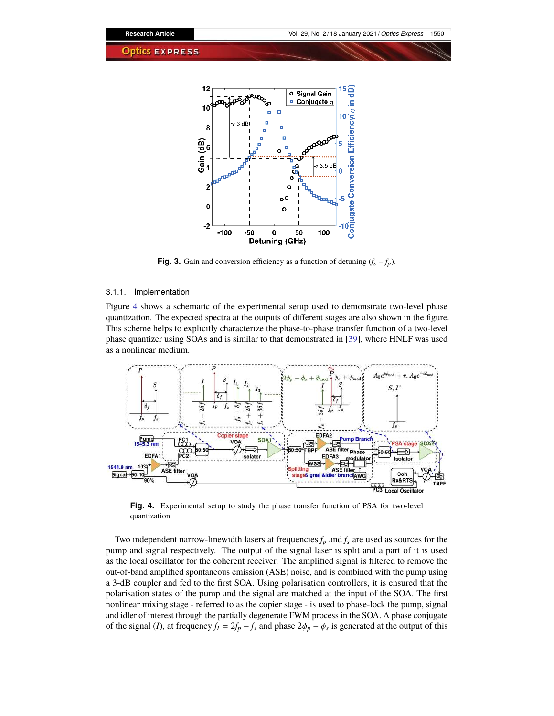

<span id="page-5-0"></span>**Fig. 3.** Gain and conversion efficiency as a function of detuning  $(f_s - f_p)$ .

#### 3.1.1. Implementation

Figure [4](#page-5-1) shows a schematic of the experimental setup used to demonstrate two-level phase quantization. The expected spectra at the outputs of different stages are also shown in the figure. This scheme helps to explicitly characterize the phase-to-phase transfer function of a two-level phase quantizer using SOAs and is similar to that demonstrated in [\[39\]](#page-12-21), where HNLF was used as a nonlinear medium.



<span id="page-5-1"></span>**Fig. 4.** Experimental setup to study the phase transfer function of PSA for two-level quantization

Two independent narrow-linewidth lasers at frequencies  $f_p$  and  $f_s$  are used as sources for the pump and signal respectively. The output of the signal laser is split and a part of it is used as the local oscillator for the coherent receiver. The amplified signal is filtered to remove the out-of-band amplified spontaneous emission (ASE) noise, and is combined with the pump using a 3-dB coupler and fed to the first SOA. Using polarisation controllers, it is ensured that the polarisation states of the pump and the signal are matched at the input of the SOA. The first nonlinear mixing stage - referred to as the copier stage - is used to phase-lock the pump, signal and idler of interest through the partially degenerate FWM process in the SOA. A phase conjugate of the signal (*I*), at frequency  $f_I = 2f_P - f_s$  and phase  $2\phi_P - \phi_s$  is generated at the output of this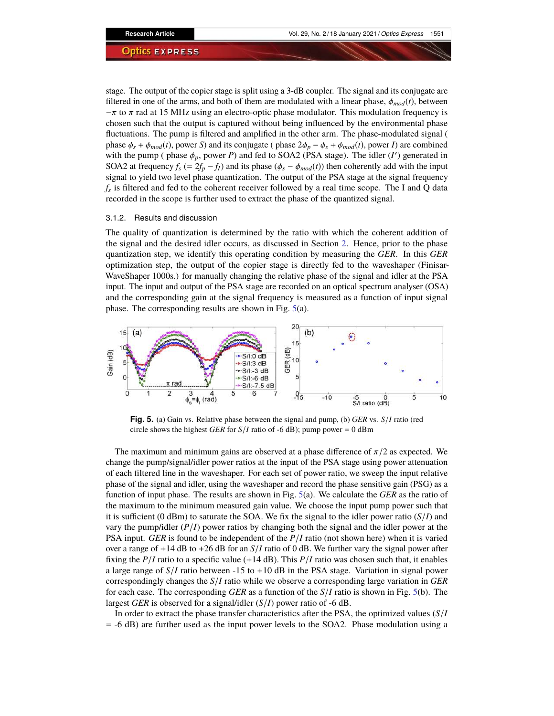stage. The output of the copier stage is split using a 3-dB coupler. The signal and its conjugate are filtered in one of the arms, and both of them are modulated with a linear phase,  $\phi_{mod}(t)$ , between  $-\pi$  to  $\pi$  rad at 15 MHz using an electro-optic phase modulator. This modulation frequency is chosen such that the output is captured without being influenced by the environmental phase fluctuations. The pump is filtered and amplified in the other arm. The phase-modulated signal ( phase  $\phi_s + \phi_{mod}(t)$ , power *S*) and its conjugate ( phase  $2\phi_p - \phi_s + \phi_{mod}(t)$ , power *I*) are combined with the pump ( phase  $\phi_p$ , power *P*) and fed to SOA2 (PSA stage). The idler (*I'*) generated in SOA2 at frequency  $f_s$  (=  $2f_p - f_l$ ) and its phase ( $\phi_s - \phi_{mod}(t)$ ) then coherently add with the input signal to yield two level phase quantization. The output of the PSA stage at the signal frequency *fs* is filtered and fed to the coherent receiver followed by a real time scope. The I and Q data recorded in the scope is further used to extract the phase of the quantized signal.

# 3.1.2. Results and discussion

The quality of quantization is determined by the ratio with which the coherent addition of the signal and the desired idler occurs, as discussed in Section [2.](#page-2-1) Hence, prior to the phase quantization step, we identify this operating condition by measuring the *GER*. In this *GER* optimization step, the output of the copier stage is directly fed to the waveshaper (Finisar-WaveShaper 1000s.) for manually changing the relative phase of the signal and idler at the PSA input. The input and output of the PSA stage are recorded on an optical spectrum analyser (OSA) and the corresponding gain at the signal frequency is measured as a function of input signal phase. The corresponding results are shown in Fig. [5\(](#page-6-0)a).



<span id="page-6-0"></span>**Fig. 5.** (a) Gain vs. Relative phase between the signal and pump, (b) *GER* vs. *S*/*I* ratio (red circle shows the highest *GER* for  $S/I$  ratio of -6 dB); pump power = 0 dBm

The maximum and minimum gains are observed at a phase difference of  $\pi/2$  as expected. We change the pump/signal/idler power ratios at the input of the PSA stage using power attenuation of each filtered line in the waveshaper. For each set of power ratio, we sweep the input relative phase of the signal and idler, using the waveshaper and record the phase sensitive gain (PSG) as a function of input phase. The results are shown in Fig. [5\(](#page-6-0)a). We calculate the *GER* as the ratio of the maximum to the minimum measured gain value. We choose the input pump power such that it is sufficient (0 dBm) to saturate the SOA. We fix the signal to the idler power ratio  $(S/I)$  and vary the pump/idler (*P*/*I*) power ratios by changing both the signal and the idler power at the PSA input. *GER* is found to be independent of the *P*/*I* ratio (not shown here) when it is varied over a range of +14 dB to +26 dB for an *S*/*I* ratio of 0 dB. We further vary the signal power after fixing the  $P/I$  ratio to a specific value (+14 dB). This  $P/I$  ratio was chosen such that, it enables a large range of  $S/I$  ratio between  $-15$  to  $+10$  dB in the PSA stage. Variation in signal power correspondingly changes the *S*/*I* ratio while we observe a corresponding large variation in *GER* for each case. The corresponding *GER* as a function of the *S*/*I* ratio is shown in Fig. [5\(](#page-6-0)b). The largest *GER* is observed for a signal/idler (*S*/*I*) power ratio of -6 dB.

In order to extract the phase transfer characteristics after the PSA, the optimized values (*S*/*I* = -6 dB) are further used as the input power levels to the SOA2. Phase modulation using a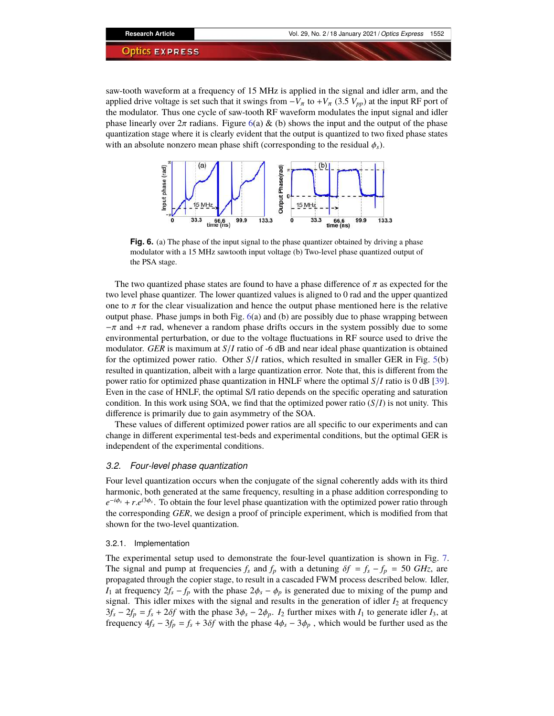saw-tooth waveform at a frequency of 15 MHz is applied in the signal and idler arm, and the applied drive voltage is set such that it swings from  $-V_{\pi}$  to  $+V_{\pi}$  (3.5  $V_{pp}$ ) at the input RF port of the modulator. Thus one cycle of saw-tooth RF waveform modulates the input signal and idler phase linearly over  $2\pi$  radians. Figure [6\(](#page-7-0)a) & (b) shows the input and the output of the phase quantization stage where it is clearly evident that the output is quantized to two fixed phase states with an absolute nonzero mean phase shift (corresponding to the residual  $\phi_s$ ).



<span id="page-7-0"></span>**Fig. 6.** (a) The phase of the input signal to the phase quantizer obtained by driving a phase modulator with a 15 MHz sawtooth input voltage (b) Two-level phase quantized output of the PSA stage.

The two quantized phase states are found to have a phase difference of  $\pi$  as expected for the two level phase quantizer. The lower quantized values is aligned to 0 rad and the upper quantized one to  $\pi$  for the clear visualization and hence the output phase mentioned here is the relative output phase. Phase jumps in both Fig.  $6(a)$  $6(a)$  and  $(b)$  are possibly due to phase wrapping between  $-\pi$  and  $+\pi$  rad, whenever a random phase drifts occurs in the system possibly due to some environmental perturbation, or due to the voltage fluctuations in RF source used to drive the modulator. *GER* is maximum at *S*/*I* ratio of -6 dB and near ideal phase quantization is obtained for the optimized power ratio. Other  $S/I$  ratios, which resulted in smaller GER in Fig. [5\(](#page-6-0)b) resulted in quantization, albeit with a large quantization error. Note that, this is different from the power ratio for optimized phase quantization in HNLF where the optimal *S*/*I* ratio is 0 dB [\[39\]](#page-12-21). Even in the case of HNLF, the optimal S/I ratio depends on the specific operating and saturation condition. In this work using SOA, we find that the optimized power ratio  $(S/I)$  is not unity. This difference is primarily due to gain asymmetry of the SOA.

These values of different optimized power ratios are all specific to our experiments and can change in different experimental test-beds and experimental conditions, but the optimal GER is independent of the experimental conditions.

#### *3.2. Four-level phase quantization*

Four level quantization occurs when the conjugate of the signal coherently adds with its third harmonic, both generated at the same frequency, resulting in a phase addition corresponding to  $e^{-i\phi_s} + r.e^{i3\phi_s}$ . To obtain the four level phase quantization with the optimized power ratio through the corresponding *GER*, we design a proof of principle experiment, which is modified from that shown for the two-level quantization.

# 3.2.1. Implementation

The experimental setup used to demonstrate the four-level quantization is shown in Fig. [7.](#page-8-0) The signal and pump at frequencies  $f_s$  and  $f_p$  with a detuning  $\delta f = f_s - f_p = 50 \text{ GHz}$ , are propagated through the copier stage, to result in a cascaded FWM process described below. Idler, *I*<sub>1</sub> at frequency  $2f_s - f_p$  with the phase  $2\phi_s - \phi_p$  is generated due to mixing of the pump and signal. This idler mixes with the signal and results in the generation of idler  $I_2$  at frequency  $3f_s - 2f_p = f_s + 2\delta f$  with the phase  $3\phi_s - 2\phi_p$ . *I*<sub>2</sub> further mixes with *I*<sub>1</sub> to generate idler *I*<sub>3</sub>, at frequency  $4f_s - 3f_p = f_s + 3\delta f$  with the phase  $4\phi_s - 3\phi_p$ , which would be further used as the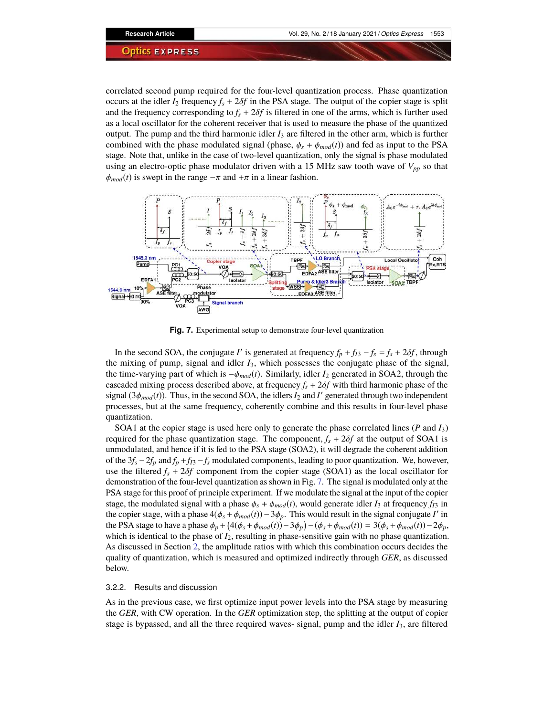correlated second pump required for the four-level quantization process. Phase quantization occurs at the idler  $I_2$  frequency  $f_s + 2\delta f$  in the PSA stage. The output of the copier stage is split and the frequency corresponding to  $f_s + 2\delta f$  is filtered in one of the arms, which is further used as a local oscillator for the coherent receiver that is used to measure the phase of the quantized output. The pump and the third harmonic idler *I*<sup>3</sup> are filtered in the other arm, which is further combined with the phase modulated signal (phase,  $\phi_s + \phi_{mod}(t)$ ) and fed as input to the PSA stage. Note that, unlike in the case of two-level quantization, only the signal is phase modulated using an electro-optic phase modulator driven with a 15 MHz saw tooth wave of  $V_{pp}$  so that  $\phi_{mod}(t)$  is swept in the range  $-\pi$  and  $+\pi$  in a linear fashion.



<span id="page-8-0"></span>**Fig. 7.** Experimental setup to demonstrate four-level quantization

In the second SOA, the conjugate *I'* is generated at frequency  $f_p + f_{13} - f_s = f_s + 2\delta f$ , through the mixing of pump, signal and idler *I*3, which possesses the conjugate phase of the signal, the time-varying part of which is −φ*mod*(*t*). Similarly, idler *I*<sup>2</sup> generated in SOA2, through the cascaded mixing process described above, at frequency  $f_s + 2\delta f$  with third harmonic phase of the signal  $(3\phi_{mod}(t))$ . Thus, in the second SOA, the idlers  $I_2$  and  $I'$  generated through two independent processes, but at the same frequency, coherently combine and this results in four-level phase quantization.

SOA1 at the copier stage is used here only to generate the phase correlated lines (*P* and *I*3) required for the phase quantization stage. The component,  $f_s + 2\delta f$  at the output of SOA1 is unmodulated, and hence if it is fed to the PSA stage (SOA2), it will degrade the coherent addition of the 3*f<sup>s</sup>* −2*f<sup>p</sup>* and *f<sup>p</sup>* +*fI*<sup>3</sup> −*f<sup>s</sup>* modulated components, leading to poor quantization. We, however, use the filtered  $f_s + 2\delta f$  component from the copier stage (SOA1) as the local oscillator for demonstration of the four-level quantization as shown in Fig. [7.](#page-8-0) The signal is modulated only at the PSA stage for this proof of principle experiment. If we modulate the signal at the input of the copier stage, the modulated signal with a phase  $\phi_s + \phi_{mod}(t)$ , would generate idler  $I_3$  at frequency  $f_{I3}$  in the copier stage, with a phase  $4(\phi_s + \phi_{mod}(t)) - 3\phi_p$ . This would result in the signal conjugate *I'* in the PSA stage to have a phase  $\phi_p + (4(\phi_s + \phi_{mod}(t)) - 3\phi_p) - (\phi_s + \phi_{mod}(t)) = 3(\phi_s + \phi_{mod}(t)) - 2\phi_p$ , which is identical to the phase of  $I_2$ , resulting in phase-sensitive gain with no phase quantization. As discussed in Section [2,](#page-2-1) the amplitude ratios with which this combination occurs decides the quality of quantization, which is measured and optimized indirectly through *GER*, as discussed below.

# 3.2.2. Results and discussion

As in the previous case, we first optimize input power levels into the PSA stage by measuring the *GER*, with CW operation. In the *GER* optimization step, the splitting at the output of copier stage is bypassed, and all the three required waves- signal, pump and the idler *I*3, are filtered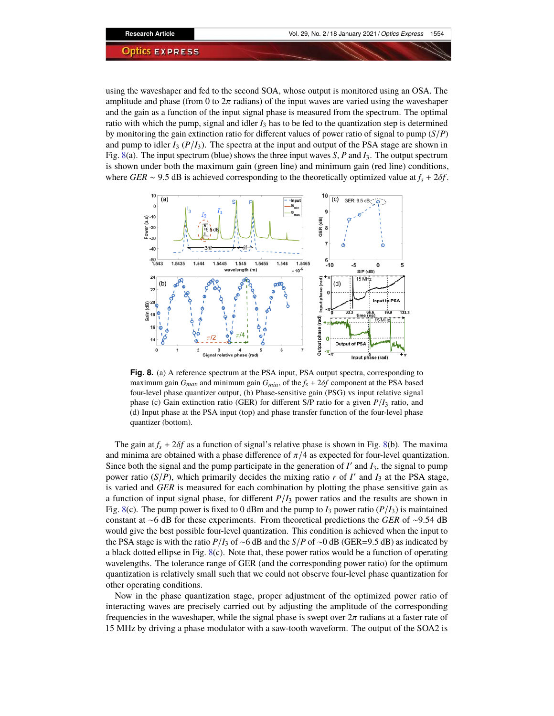using the waveshaper and fed to the second SOA, whose output is monitored using an OSA. The amplitude and phase (from 0 to  $2\pi$  radians) of the input waves are varied using the waveshaper and the gain as a function of the input signal phase is measured from the spectrum. The optimal ratio with which the pump, signal and idler  $I_3$  has to be fed to the quantization step is determined by monitoring the gain extinction ratio for different values of power ratio of signal to pump (*S*/*P*) and pump to idler  $I_3$  ( $P/I_3$ ). The spectra at the input and output of the PSA stage are shown in Fig. [8\(](#page-9-0)a). The input spectrum (blue) shows the three input waves *S*, *P* and *I*3. The output spectrum is shown under both the maximum gain (green line) and minimum gain (red line) conditions, where *GER* ~ 9.5 dB is achieved corresponding to the theoretically optimized value at  $f_s + 2\delta f$ .



<span id="page-9-0"></span>**Fig. 8.** (a) A reference spectrum at the PSA input, PSA output spectra, corresponding to maximum gain *Gmax* and minimum gain *Gmin*, of the *f<sup>s</sup>* + 2δ*f* component at the PSA based four-level phase quantizer output, (b) Phase-sensitive gain (PSG) vs input relative signal phase (c) Gain extinction ratio (GER) for different S/P ratio for a given *P*/*I*<sup>3</sup> ratio, and (d) Input phase at the PSA input (top) and phase transfer function of the four-level phase quantizer (bottom).

The gain at  $f_s + 2\delta f$  as a function of signal's relative phase is shown in Fig. [8\(](#page-9-0)b). The maxima and minima are obtained with a phase difference of  $\pi/4$  as expected for four-level quantization. Since both the signal and the pump participate in the generation of  $I'$  and  $I_3$ , the signal to pump power ratio  $(S/P)$ , which primarily decides the mixing ratio *r* of *I'* and  $I_3$  at the PSA stage, is varied and *GER* is measured for each combination by plotting the phase sensitive gain as a function of input signal phase, for different  $P/I_3$  power ratios and the results are shown in Fig. [8\(](#page-9-0)c). The pump power is fixed to 0 dBm and the pump to  $I_3$  power ratio ( $P/I_3$ ) is maintained constant at ∼6 dB for these experiments. From theoretical predictions the *GER* of ∼9.54 dB would give the best possible four-level quantization. This condition is achieved when the input to the PSA stage is with the ratio *P*/*I*<sup>3</sup> of ∼6 dB and the *S*/*P* of ∼0 dB (GER=9.5 dB) as indicated by a black dotted ellipse in Fig. [8\(](#page-9-0)c). Note that, these power ratios would be a function of operating wavelengths. The tolerance range of GER (and the corresponding power ratio) for the optimum quantization is relatively small such that we could not observe four-level phase quantization for other operating conditions.

Now in the phase quantization stage, proper adjustment of the optimized power ratio of interacting waves are precisely carried out by adjusting the amplitude of the corresponding frequencies in the waveshaper, while the signal phase is swept over  $2\pi$  radians at a faster rate of 15 MHz by driving a phase modulator with a saw-tooth waveform. The output of the SOA2 is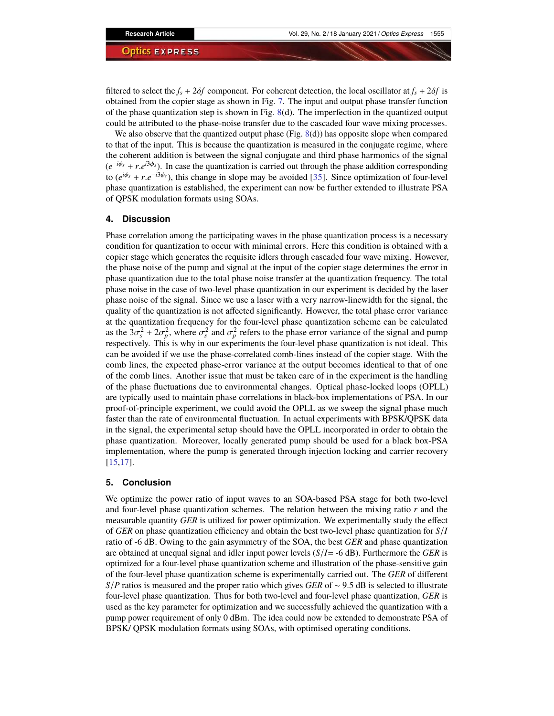filtered to select the  $f_s + 2\delta f$  component. For coherent detection, the local oscillator at  $f_s + 2\delta f$  is obtained from the copier stage as shown in Fig. [7.](#page-8-0) The input and output phase transfer function of the phase quantization step is shown in Fig.  $8(d)$  $8(d)$ . The imperfection in the quantized output could be attributed to the phase-noise transfer due to the cascaded four wave mixing processes.

We also observe that the quantized output phase (Fig. [8\(](#page-9-0)d)) has opposite slope when compared to that of the input. This is because the quantization is measured in the conjugate regime, where the coherent addition is between the signal conjugate and third phase harmonics of the signal  $(e^{-i\phi_s} + r.e^{i3\phi_s})$ . In case the quantization is carried out through the phase addition corresponding to  $(e^{i\phi_s} + r.e^{-i3\phi_s})$ , this change in slope may be avoided [\[35\]](#page-12-8). Since optimization of four-level phase quantization is established, the experiment can now be further extended to illustrate PSA of QPSK modulation formats using SOAs.

# **4. Discussion**

Phase correlation among the participating waves in the phase quantization process is a necessary condition for quantization to occur with minimal errors. Here this condition is obtained with a copier stage which generates the requisite idlers through cascaded four wave mixing. However, the phase noise of the pump and signal at the input of the copier stage determines the error in phase quantization due to the total phase noise transfer at the quantization frequency. The total phase noise in the case of two-level phase quantization in our experiment is decided by the laser phase noise of the signal. Since we use a laser with a very narrow-linewidth for the signal, the quality of the quantization is not affected significantly. However, the total phase error variance at the quantization frequency for the four-level phase quantization scheme can be calculated as the  $3\sigma_s^2 + 2\sigma_p^2$ , where  $\sigma_s^2$  and  $\sigma_p^2$  refers to the phase error variance of the signal and pump respectively. This is why in our experiments the four-level phase quantization is not ideal. This can be avoided if we use the phase-correlated comb-lines instead of the copier stage. With the comb lines, the expected phase-error variance at the output becomes identical to that of one of the comb lines. Another issue that must be taken care of in the experiment is the handling of the phase fluctuations due to environmental changes. Optical phase-locked loops (OPLL) are typically used to maintain phase correlations in black-box implementations of PSA. In our proof-of-principle experiment, we could avoid the OPLL as we sweep the signal phase much faster than the rate of environmental fluctuation. In actual experiments with BPSK/QPSK data in the signal, the experimental setup should have the OPLL incorporated in order to obtain the phase quantization. Moreover, locally generated pump should be used for a black box-PSA implementation, where the pump is generated through injection locking and carrier recovery [\[15](#page-11-11)[,17\]](#page-11-16).

# **5. Conclusion**

We optimize the power ratio of input waves to an SOA-based PSA stage for both two-level and four-level phase quantization schemes. The relation between the mixing ratio *r* and the measurable quantity *GER* is utilized for power optimization. We experimentally study the effect of *GER* on phase quantization efficiency and obtain the best two-level phase quantization for *S*/*I* ratio of -6 dB. Owing to the gain asymmetry of the SOA, the best *GER* and phase quantization are obtained at unequal signal and idler input power levels (*S*/*I*= -6 dB). Furthermore the *GER* is optimized for a four-level phase quantization scheme and illustration of the phase-sensitive gain of the four-level phase quantization scheme is experimentally carried out. The *GER* of different *S*/*P* ratios is measured and the proper ratio which gives *GER* of ~ 9.5 dB is selected to illustrate four-level phase quantization. Thus for both two-level and four-level phase quantization, *GER* is used as the key parameter for optimization and we successfully achieved the quantization with a pump power requirement of only 0 dBm. The idea could now be extended to demonstrate PSA of BPSK/ QPSK modulation formats using SOAs, with optimised operating conditions.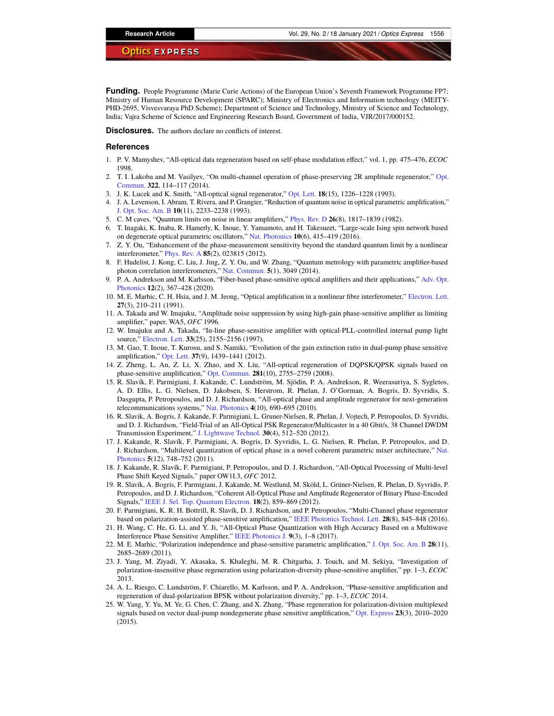**Funding.** People Programme (Marie Curie Actions) of the European Union's Seventh Framework Programme FP7; Ministry of Human Resource Development (SPARC); Ministry of Electronics and Information technology (MEITY-PHD-2695, Visvesvaraya PhD Scheme); Department of Science and Technology, Ministry of Science and Technology, India; Vajra Scheme of Science and Engineering Research Board, Government of India, VJR/2017/000152.

**Disclosures.** The authors declare no conflicts of interest.

#### **References**

- <span id="page-11-0"></span>1. P. V. Mamyshev, "All-optical data regeneration based on self-phase modulation effect," vol. 1, pp. 475–476, *ECOC* 1998.
- 2. T. I. Lakoba and M. Vasilyev, "On multi-channel operation of phase-preserving 2R amplitude regenerator," [Opt.](https://doi.org/10.1016/j.optcom.2014.02.026) [Commun.](https://doi.org/10.1016/j.optcom.2014.02.026) **322**, 114–117 (2014).
- <span id="page-11-1"></span>3. J. K. Lucek and K. Smith, "All-optical signal regenerator," [Opt. Lett.](https://doi.org/10.1364/OL.18.001226) **18**(15), 1226–1228 (1993).
- <span id="page-11-2"></span>4. J. A. Levenson, I. Abram, T. Rivera, and P. Grangier, "Reduction of quantum noise in optical parametric amplification," [J. Opt. Soc. Am. B](https://doi.org/10.1364/JOSAB.10.002233) **10**(11), 2233–2238 (1993).
- <span id="page-11-3"></span>5. C. M caves, "Quantum limits on noise in linear amplifiers," [Phys. Rev. D](https://doi.org/10.1103/PhysRevD.26.1817) **26**(8), 1817–1839 (1982).
- <span id="page-11-4"></span>6. T. Inagaki, K. Inaba, R. Hamerly, K. Inoue, Y. Yamamoto, and H. Takesueet, "Large-scale Ising spin network based on degenerate optical parametric oscillators," [Nat. Photonics](https://doi.org/10.1038/nphoton.2016.68) **10**(6), 415–419 (2016).
- <span id="page-11-5"></span>7. Z. Y. Ou, "Enhancement of the phase-measurement sensitivity beyond the standard quantum limit by a nonlinear interferometer," [Phys. Rev. A](https://doi.org/10.1103/PhysRevA.85.023815) **85**(2), 023815 (2012).
- <span id="page-11-6"></span>8. F. Hudelist, J. Kong, C. Liu, J. Jing, Z. Y. Ou, and W. Zhang, "Quantum metrology with parametric amplifier-based photon correlation interferometers," [Nat. Commun.](https://doi.org/10.1038/ncomms4049) **5**(1), 3049 (2014).
- <span id="page-11-7"></span>9. P. A. Andrekson and M. Karlsson, "Fiber-based phase-sensitive optical amplifiers and their applications," [Adv. Opt.](https://doi.org/10.1364/AOP.382548) [Photonics](https://doi.org/10.1364/AOP.382548) **12**(2), 367–428 (2020).
- <span id="page-11-8"></span>10. M. E. Marhic, C. H. Hsia, and J. M. Jeong, "Optical amplification in a nonlinear fibre interferometer," [Electron. Lett.](https://doi.org/10.1049/el:19910136) **27**(3), 210–211 (1991).
- 11. A. Takada and W. Imajuku, "Amplitude noise suppression by using high-gain phase-sensitive amplifier as limiting amplifier," paper. WA5, *OFC* 1996.
- 12. W. Imajuku and A. Takada, "In-line phase-sensitive amplifier with optical-PLL-controlled internal pump light source," [Electron. Lett.](https://doi.org/10.1049/el:19971360) **33**(25), 2155–2156 (1997).
- <span id="page-11-9"></span>13. M. Gao, T. Inoue, T. Kurosu, and S. Namiki, "Evolution of the gain extinction ratio in dual-pump phase sensitive amplification," [Opt. Lett.](https://doi.org/10.1364/OL.37.001439) **37**(9), 1439–1441 (2012).
- <span id="page-11-10"></span>14. Z. Zheng, L. An, Z. Li, X. Zhao, and X. Liu, "All-optical regeneration of DQPSK/QPSK signals based on phase-sensitive amplification," [Opt. Commun.](https://doi.org/10.1016/j.optcom.2008.01.046) **281**(10), 2755–2759 (2008).
- <span id="page-11-11"></span>15. R. Slavík, F. Parmigiani, J. Kakande, C. Lundström, M. Sjödin, P. A. Andrekson, R. Weerasuriya, S. Sygletos, A. D. Ellis, L. G. Nielsen, D. Jakobsen, S. Herstrom, R. Phelan, J. O'Gorman, A. Bogris, D. Syvridis, S. Dasgupta, P. Petropoulos, and D. J. Richardson, "All-optical phase and amplitude regenerator for next-generation telecommunications systems," [Nat. Photonics](https://doi.org/10.1038/nphoton.2010.203) **4**(10), 690–695 (2010).
- <span id="page-11-17"></span>16. R. Slavik, A. Bogris, J. Kakande, F. Parmigiani, L. Gruner-Nielsen, R. Phelan, J. Vojtech, P. Petropoulos, D. Syvridis, and D. J. Richardson, "Field-Trial of an All-Optical PSK Regenerator/Multicaster in a 40 Gbit/s, 38 Channel DWDM Transmission Experiment," [J. Lightwave Technol.](https://doi.org/10.1109/JLT.2011.2174197) **30**(4), 512–520 (2012).
- <span id="page-11-16"></span>17. J. Kakande, R. Slavík, F. Parmigiani, A. Bogris, D. Syvridis, L. G. Nielsen, R. Phelan, P. Petropoulos, and D. J. Richardson, "Multilevel quantization of optical phase in a novel coherent parametric mixer architecture," [Nat.](https://doi.org/10.1038/nphoton.2011.254) [Photonics](https://doi.org/10.1038/nphoton.2011.254) **5**(12), 748–752 (2011).
- 18. J. Kakande, R. Slavík, F. Parmigiani, P. Petropoulos, and D. J. Richardson, "All-Optical Processing of Multi-level Phase Shift Keyed Signals," paper OW1I.3, *OFC* 2012.
- <span id="page-11-12"></span>19. R. Slavík, A. Bogris, F. Parmigiani, J. Kakande, M. Westlund, M. Sköld, L. Grüner-Nielsen, R. Phelan, D. Syvridis, P. Petropoulos, and D. J. Richardson, "Coherent All-Optical Phase and Amplitude Regenerator of Binary Phase-Encoded Signals," [IEEE J. Sel. Top. Quantum Electron.](https://doi.org/10.1109/JSTQE.2011.2136329) **18**(2), 859–869 (2012).
- <span id="page-11-13"></span>20. F. Parmigiani, K. R. H. Bottrill, R. Slavík, D. J. Richardson, and P. Petropoulos, "Multi-Channel phase regenerator based on polarization-assisted phase-sensitive amplification," [IEEE Photonics Technol. Lett.](https://doi.org/10.1109/LPT.2016.2514605) **28**(8), 845–848 (2016).
- <span id="page-11-14"></span>21. H. Wang, C. He, G. Li, and Y. Ji, "All-Optical Phase Quantization with High Accuracy Based on a Multiwave Interference Phase Sensitive Amplifier," [IEEE Photonics J.](https://doi.org/10.1109/JPHOT.2017.2703812) **9**(3), 1–8 (2017).
- <span id="page-11-15"></span>22. M. E. Marhic, "Polarization independence and phase-sensitive parametric amplification," [J. Opt. Soc. Am. B](https://doi.org/10.1364/JOSAB.28.002685) **28**(11), 2685–2689 (2011).
- <span id="page-11-18"></span>23. J. Yang, M. Ziyadi, Y. Akasaka, S. Khaleghi, M. R. Chitgarha, J. Touch, and M. Sekiya, "Investigation of polarization-insensitive phase regeneration using polarization-diversity phase-sensitive amplifier," pp. 1–3, *ECOC* 2013.
- 24. A. L. Riesgo, C. Lundström, F. Chiarello, M. Karlsson, and P. A. Andrekson, "Phase-sensitive amplification and regeneration of dual-polarization BPSK without polarization diversity," pp. 1–3, *ECOC* 2014.
- 25. W. Yang, Y. Yu, M. Ye, G. Chen, C. Zhang, and X. Zhang, "Phase regeneration for polarization-division multiplexed signals based on vector dual-pump nondegenerate phase sensitive amplification," [Opt. Express](https://doi.org/10.1364/OE.23.002010) **23**(3), 2010–2020 (2015).